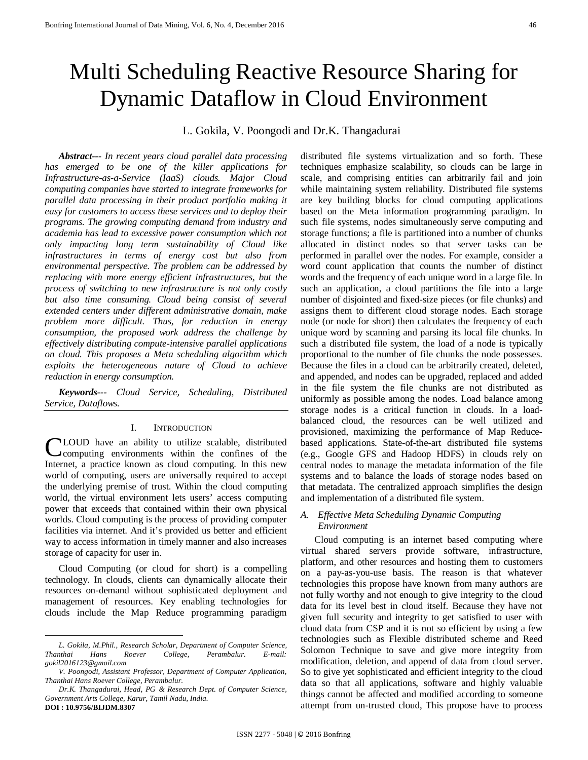# Multi Scheduling Reactive Resource Sharing for Dynamic Dataflow in Cloud Environment

# L. Gokila, V. Poongodi and Dr.K. Thangadurai

*Abstract--- In recent years cloud parallel data processing has emerged to be one of the killer applications for Infrastructure-as-a-Service (IaaS) clouds. Major Cloud computing companies have started to integrate frameworks for parallel data processing in their product portfolio making it easy for customers to access these services and to deploy their programs. The growing computing demand from industry and academia has lead to excessive power consumption which not only impacting long term sustainability of Cloud like infrastructures in terms of energy cost but also from environmental perspective. The problem can be addressed by replacing with more energy efficient infrastructures, but the process of switching to new infrastructure is not only costly but also time consuming. Cloud being consist of several extended centers under different administrative domain, make problem more difficult. Thus, for reduction in energy consumption, the proposed work address the challenge by effectively distributing compute-intensive parallel applications on cloud. This proposes a Meta scheduling algorithm which exploits the heterogeneous nature of Cloud to achieve reduction in energy consumption.*

*Keywords--- Cloud Service, Scheduling, Distributed Service, Dataflows.*

## I. INTRODUCTION

CLOUD have an ability to utilize scalable, distributed computing environments within the confines of the computing environments within the confines of the Internet, a practice known as cloud computing. In this new world of computing, users are universally required to accept the underlying premise of trust. Within the cloud computing world, the virtual environment lets users' access computing power that exceeds that contained within their own physical worlds. Cloud computing is the process of providing computer facilities via internet. And it's provided us better and efficient way to access information in timely manner and also increases storage of capacity for user in.

Cloud Computing (or cloud for short) is a compelling technology. In clouds, clients can dynamically allocate their resources on-demand without sophisticated deployment and management of resources. Key enabling technologies for clouds include the Map Reduce programming paradigm

**.** 

distributed file systems virtualization and so forth. These techniques emphasize scalability, so clouds can be large in scale, and comprising entities can arbitrarily fail and join while maintaining system reliability. Distributed file systems are key building blocks for cloud computing applications based on the Meta information programming paradigm. In such file systems, nodes simultaneously serve computing and storage functions; a file is partitioned into a number of chunks allocated in distinct nodes so that server tasks can be performed in parallel over the nodes. For example, consider a word count application that counts the number of distinct words and the frequency of each unique word in a large file. In such an application, a cloud partitions the file into a large number of disjointed and fixed-size pieces (or file chunks) and assigns them to different cloud storage nodes. Each storage node (or node for short) then calculates the frequency of each unique word by scanning and parsing its local file chunks. In such a distributed file system, the load of a node is typically proportional to the number of file chunks the node possesses. Because the files in a cloud can be arbitrarily created, deleted, and appended, and nodes can be upgraded, replaced and added in the file system the file chunks are not distributed as uniformly as possible among the nodes. Load balance among storage nodes is a critical function in clouds. In a loadbalanced cloud, the resources can be well utilized and provisioned, maximizing the performance of Map Reducebased applications. State-of-the-art distributed file systems (e.g., Google GFS and Hadoop HDFS) in clouds rely on central nodes to manage the metadata information of the file systems and to balance the loads of storage nodes based on that metadata. The centralized approach simplifies the design and implementation of a distributed file system.

# *A. Effective Meta Scheduling Dynamic Computing Environment*

Cloud computing is an internet based computing where virtual shared servers provide software, infrastructure, platform, and other resources and hosting them to customers on a pay-as-you-use basis. The reason is that whatever technologies this propose have known from many authors are not fully worthy and not enough to give integrity to the cloud data for its level best in cloud itself. Because they have not given full security and integrity to get satisfied to user with cloud data from CSP and it is not so efficient by using a few technologies such as Flexible distributed scheme and Reed Solomon Technique to save and give more integrity from modification, deletion, and append of data from cloud server. So to give yet sophisticated and efficient integrity to the cloud data so that all applications, software and highly valuable things cannot be affected and modified according to someone attempt from un-trusted cloud, This propose have to process

*L. Gokila, M.Phil., Research Scholar, Department of Computer Science, Thanthai Hans Roever College, Perambalur. E-mail: [gokil2016123@gmail.com](mailto:gokil2016123@gmail.com)*

*V. Poongodi, Assistant Professor, Department of Computer Application, Thanthai Hans Roever College, Perambalur.*

*Dr.K. Thangadurai, Head, PG & Research Dept. of Computer Science, Government Arts College, Karur, Tamil Nadu, India.* **DOI : [10.9756/BIJDM.8307](http://dx.doi.org/10.9756/BIJDM.8303)**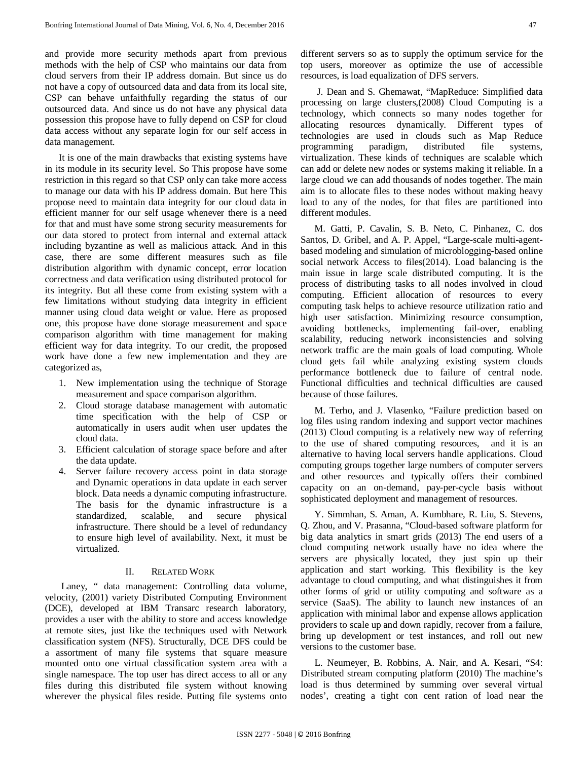and provide more security methods apart from previous methods with the help of CSP who maintains our data from cloud servers from their IP address domain. But since us do not have a copy of outsourced data and data from its local site, CSP can behave unfaithfully regarding the status of our outsourced data. And since us do not have any physical data possession this propose have to fully depend on CSP for cloud data access without any separate login for our self access in data management.

It is one of the main drawbacks that existing systems have in its module in its security level. So This propose have some restriction in this regard so that CSP only can take more access to manage our data with his IP address domain. But here This propose need to maintain data integrity for our cloud data in efficient manner for our self usage whenever there is a need for that and must have some strong security measurements for our data stored to protect from internal and external attack including byzantine as well as malicious attack. And in this case, there are some different measures such as file distribution algorithm with dynamic concept, error location correctness and data verification using distributed protocol for its integrity. But all these come from existing system with a few limitations without studying data integrity in efficient manner using cloud data weight or value. Here as proposed one, this propose have done storage measurement and space comparison algorithm with time management for making efficient way for data integrity. To our credit, the proposed work have done a few new implementation and they are categorized as,

- 1. New implementation using the technique of Storage measurement and space comparison algorithm.
- 2. Cloud storage database management with automatic time specification with the help of CSP or automatically in users audit when user updates the cloud data.
- 3. Efficient calculation of storage space before and after the data update.
- 4. Server failure recovery access point in data storage and Dynamic operations in data update in each server block. Data needs a dynamic computing infrastructure. The basis for the dynamic infrastructure is a standardized, scalable, and secure physical infrastructure. There should be a level of redundancy to ensure high level of availability. Next, it must be virtualized.

# II. RELATED WORK

Laney, " data management: Controlling data volume, velocity, (2001) variety Distributed Computing Environment (DCE), developed at IBM Transarc research laboratory, provides a user with the ability to store and access knowledge at remote sites, just like the techniques used with Network classification system (NFS). Structurally, DCE DFS could be a assortment of many file systems that square measure mounted onto one virtual classification system area with a single namespace. The top user has direct access to all or any files during this distributed file system without knowing wherever the physical files reside. Putting file systems onto different servers so as to supply the optimum service for the top users, moreover as optimize the use of accessible resources, is load equalization of DFS servers.

J. Dean and S. Ghemawat, "MapReduce: Simplified data processing on large clusters,(2008) Cloud Computing is a technology, which connects so many nodes together for allocating resources dynamically. Different types of technologies are used in clouds such as Map Reduce programming paradigm, distributed file systems, virtualization. These kinds of techniques are scalable which can add or delete new nodes or systems making it reliable. In a large cloud we can add thousands of nodes together. The main aim is to allocate files to these nodes without making heavy load to any of the nodes, for that files are partitioned into different modules.

M. Gatti, P. Cavalin, S. B. Neto, C. Pinhanez, C. dos Santos, D. Gribel, and A. P. Appel, "Large-scale multi-agentbased modeling and simulation of microblogging-based online social network Access to files(2014). Load balancing is the main issue in large scale distributed computing. It is the process of distributing tasks to all nodes involved in cloud computing. Efficient allocation of resources to every computing task helps to achieve resource utilization ratio and high user satisfaction. Minimizing resource consumption, avoiding bottlenecks, implementing fail-over, enabling scalability, reducing network inconsistencies and solving network traffic are the main goals of load computing. Whole cloud gets fail while analyzing existing system clouds performance bottleneck due to failure of central node. Functional difficulties and technical difficulties are caused because of those failures.

M. Terho, and J. Vlasenko, "Failure prediction based on log files using random indexing and support vector machines (2013) Cloud computing is a relatively new way of referring to the use of shared computing resources, and it is an alternative to having local servers handle applications. Cloud computing groups together large numbers of computer servers and other resources and typically offers their combined capacity on an on-demand, pay-per-cycle basis without sophisticated deployment and management of resources.

Y. Simmhan, S. Aman, A. Kumbhare, R. Liu, S. Stevens, Q. Zhou, and V. Prasanna, "Cloud-based software platform for big data analytics in smart grids (2013) The end users of a cloud computing network usually have no idea where the servers are physically located, they just spin up their application and start working. This flexibility is the key advantage to cloud computing, and what distinguishes it from other forms of grid or utility computing and software as a service (SaaS). The ability to launch new instances of an application with minimal labor and expense allows application providers to scale up and down rapidly, recover from a failure, bring up development or test instances, and roll out new versions to the customer base.

L. Neumeyer, B. Robbins, A. Nair, and A. Kesari, "S4: Distributed stream computing platform (2010) The machine's load is thus determined by summing over several virtual nodes', creating a tight con cent ration of load near the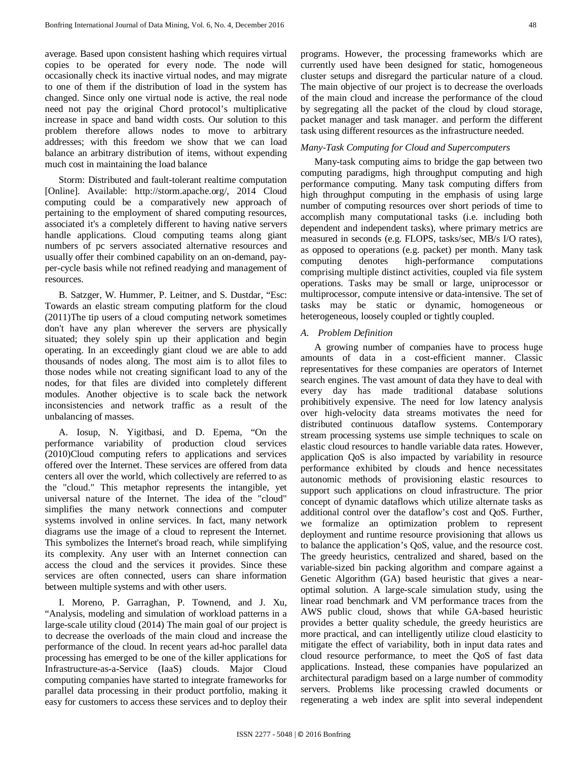average. Based upon consistent hashing which requires virtual copies to be operated for every node. The node will occasionally check its inactive virtual nodes, and may migrate to one of them if the distribution of load in the system has changed. Since only one virtual node is active, the real node need not pay the original Chord protocol's multiplicative increase in space and band width costs. Our solution to this problem therefore allows nodes to move to arbitrary addresses; with this freedom we show that we can load balance an arbitrary distribution of items, without expending much cost in maintaining the load balance

Storm: Distributed and fault-tolerant realtime computation [Online]. Available: http://storm.apache.org/, 2014 Cloud computing could be a comparatively new approach of pertaining to the employment of shared computing resources, associated it's a completely different to having native servers handle applications. Cloud computing teams along giant numbers of pc servers associated alternative resources and usually offer their combined capability on an on-demand, payper-cycle basis while not refined readying and management of resources.

B. Satzger, W. Hummer, P. Leitner, and S. Dustdar, "Esc: Towards an elastic stream computing platform for the cloud (2011)The tip users of a cloud computing network sometimes don't have any plan wherever the servers are physically situated; they solely spin up their application and begin operating. In an exceedingly giant cloud we are able to add thousands of nodes along. The most aim is to allot files to those nodes while not creating significant load to any of the nodes, for that files are divided into completely different modules. Another objective is to scale back the network inconsistencies and network traffic as a result of the unbalancing of masses.

A. Iosup, N. Yigitbasi, and D. Epema, "On the performance variability of production cloud services (2010)Cloud computing refers to applications and services offered over the Internet. These services are offered from data centers all over the world, which collectively are referred to as the "cloud." This metaphor represents the intangible, yet universal nature of the Internet. The idea of the "cloud" simplifies the many network connections and computer systems involved in online services. In fact, many network diagrams use the image of a cloud to represent the Internet. This symbolizes the Internet's broad reach, while simplifying its complexity. Any user with an Internet connection can access the cloud and the services it provides. Since these services are often connected, users can share information between multiple systems and with other users.

I. Moreno, P. Garraghan, P. Townend, and J. Xu, "Analysis, modeling and simulation of workload patterns in a large-scale utility cloud (2014) The main goal of our project is to decrease the overloads of the main cloud and increase the performance of the cloud. In recent years ad-hoc parallel data processing has emerged to be one of the killer applications for Infrastructure-as-a-Service (IaaS) clouds. Major Cloud computing companies have started to integrate frameworks for parallel data processing in their product portfolio, making it easy for customers to access these services and to deploy their programs. However, the processing frameworks which are currently used have been designed for static, homogeneous cluster setups and disregard the particular nature of a cloud. The main objective of our project is to decrease the overloads of the main cloud and increase the performance of the cloud by segregating all the packet of the cloud by cloud storage, packet manager and task manager. and perform the different task using different resources as the infrastructure needed.

## *Many-Task Computing for Cloud and Supercomputers*

Many-task computing aims to bridge the gap between two computing paradigms, high throughput computing and high performance computing. Many task computing differs from high throughput computing in the emphasis of using large number of computing resources over short periods of time to accomplish many computational tasks (i.e. including both dependent and independent tasks), where primary metrics are measured in seconds (e.g. FLOPS, tasks/sec, MB/s I/O rates), as opposed to operations (e.g. packet) per month. Many task computing denotes high-performance computations comprising multiple distinct activities, coupled via file system operations. Tasks may be small or large, uniprocessor or multiprocessor, compute intensive or data-intensive. The set of tasks may be static or dynamic, homogeneous or heterogeneous, loosely coupled or tightly coupled.

## *A. Problem Definition*

A growing number of companies have to process huge amounts of data in a cost-efficient manner. Classic representatives for these companies are operators of Internet search engines. The vast amount of data they have to deal with every day has made traditional database solutions prohibitively expensive. The need for low latency analysis over high-velocity data streams motivates the need for distributed continuous dataflow systems. Contemporary stream processing systems use simple techniques to scale on elastic cloud resources to handle variable data rates. However, application QoS is also impacted by variability in resource performance exhibited by clouds and hence necessitates autonomic methods of provisioning elastic resources to support such applications on cloud infrastructure. The prior concept of dynamic dataflows which utilize alternate tasks as additional control over the dataflow's cost and QoS. Further, we formalize an optimization problem to represent deployment and runtime resource provisioning that allows us to balance the application's QoS, value, and the resource cost. The greedy heuristics, centralized and shared, based on the variable-sized bin packing algorithm and compare against a Genetic Algorithm (GA) based heuristic that gives a nearoptimal solution. A large-scale simulation study, using the linear road benchmark and VM performance traces from the AWS public cloud, shows that while GA-based heuristic provides a better quality schedule, the greedy heuristics are more practical, and can intelligently utilize cloud elasticity to mitigate the effect of variability, both in input data rates and cloud resource performance, to meet the QoS of fast data applications. Instead, these companies have popularized an architectural paradigm based on a large number of commodity servers. Problems like processing crawled documents or regenerating a web index are split into several independent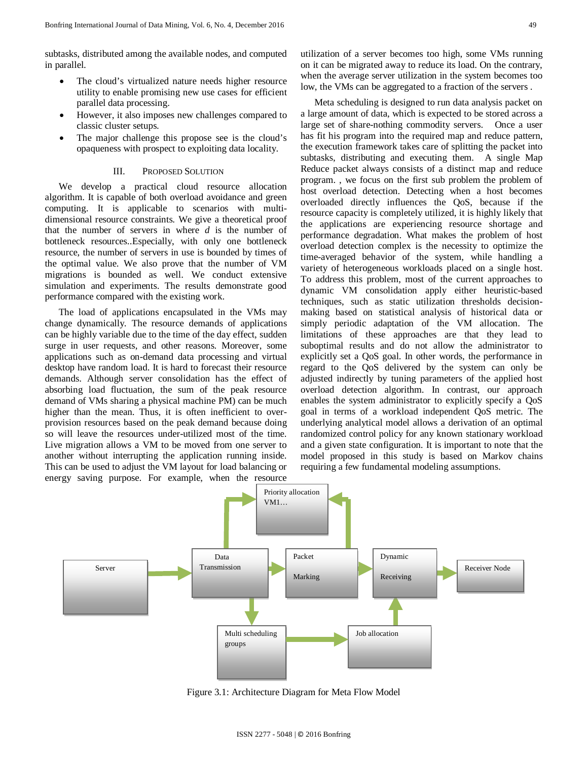- The cloud's virtualized nature needs higher resource utility to enable promising new use cases for efficient parallel data processing.
- However, it also imposes new challenges compared to classic cluster setups.
- The major challenge this propose see is the cloud's opaqueness with prospect to exploiting data locality.

#### III. PROPOSED SOLUTION

We develop a practical cloud resource allocation algorithm. It is capable of both overload avoidance and green computing. It is applicable to scenarios with multidimensional resource constraints. We give a theoretical proof that the number of servers in where *d* is the number of bottleneck resources..Especially, with only one bottleneck resource, the number of servers in use is bounded by times of the optimal value. We also prove that the number of VM migrations is bounded as well. We conduct extensive simulation and experiments. The results demonstrate good performance compared with the existing work.

The load of applications encapsulated in the VMs may change dynamically. The resource demands of applications can be highly variable due to the time of the day effect, sudden surge in user requests, and other reasons. Moreover, some applications such as on-demand data processing and virtual desktop have random load. It is hard to forecast their resource demands. Although server consolidation has the effect of absorbing load fluctuation, the sum of the peak resource demand of VMs sharing a physical machine PM) can be much higher than the mean. Thus, it is often inefficient to overprovision resources based on the peak demand because doing so will leave the resources under-utilized most of the time. Live migration allows a VM to be moved from one server to another without interrupting the application running inside. This can be used to adjust the VM layout for load balancing or energy saving purpose. For example, when the resource

utilization of a server becomes too high, some VMs running on it can be migrated away to reduce its load. On the contrary, when the average server utilization in the system becomes too low, the VMs can be aggregated to a fraction of the servers .

Meta scheduling is designed to run data analysis packet on a large amount of data, which is expected to be stored across a large set of share-nothing commodity servers. Once a user has fit his program into the required map and reduce pattern, the execution framework takes care of splitting the packet into subtasks, distributing and executing them. A single Map Reduce packet always consists of a distinct map and reduce program. , we focus on the first sub problem the problem of host overload detection. Detecting when a host becomes overloaded directly influences the QoS, because if the resource capacity is completely utilized, it is highly likely that the applications are experiencing resource shortage and performance degradation. What makes the problem of host overload detection complex is the necessity to optimize the time-averaged behavior of the system, while handling a variety of heterogeneous workloads placed on a single host. To address this problem, most of the current approaches to dynamic VM consolidation apply either heuristic-based techniques, such as static utilization thresholds decisionmaking based on statistical analysis of historical data or simply periodic adaptation of the VM allocation. The limitations of these approaches are that they lead to suboptimal results and do not allow the administrator to explicitly set a QoS goal. In other words, the performance in regard to the QoS delivered by the system can only be adjusted indirectly by tuning parameters of the applied host overload detection algorithm. In contrast, our approach enables the system administrator to explicitly specify a QoS goal in terms of a workload independent QoS metric. The underlying analytical model allows a derivation of an optimal randomized control policy for any known stationary workload and a given state configuration. It is important to note that the model proposed in this study is based on Markov chains requiring a few fundamental modeling assumptions.



Figure 3.1: Architecture Diagram for Meta Flow Model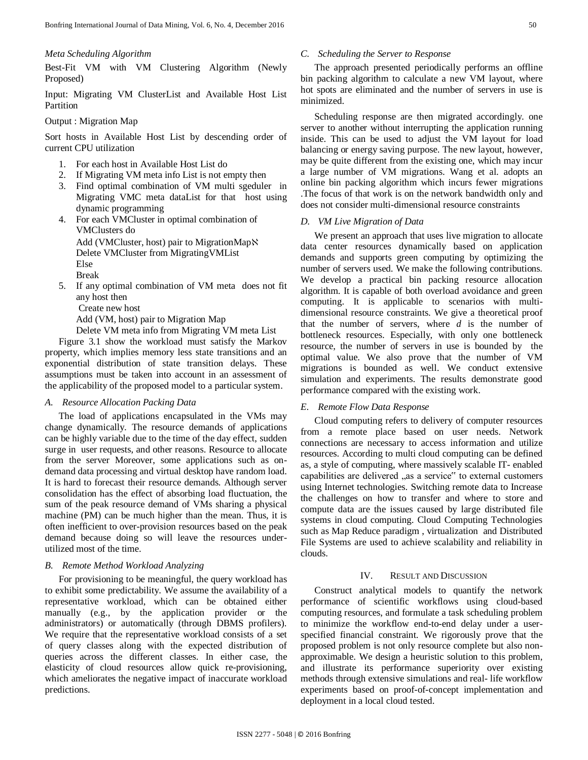### *Meta Scheduling Algorithm*

Best-Fit VM with VM Clustering Algorithm (Newly Proposed)

Input: Migrating VM ClusterList and Available Host List Partition

# Output : Migration Map

Sort hosts in Available Host List by descending order of current CPU utilization

- 1. For each host in Available Host List do
- 2. If Migrating VM meta info List is not empty then
- 3. Find optimal combination of VM multi sgeduler in Migrating VMC meta dataList for that host using dynamic programming
- 4. For each VMCluster in optimal combination of VMClusters do Add (VMCluster, host) pair to MigrationMapℵ Delete VMCluster from MigratingVMList Else Break
- 5. If any optimal combination of VM meta does not fit any host then

Create new host

Add (VM, host) pair to Migration Map

Delete VM meta info from Migrating VM meta List

Figure 3.1 show the workload must satisfy the Markov property, which implies memory less state transitions and an exponential distribution of state transition delays. These assumptions must be taken into account in an assessment of the applicability of the proposed model to a particular system.

# *A. Resource Allocation Packing Data*

The load of applications encapsulated in the VMs may change dynamically. The resource demands of applications can be highly variable due to the time of the day effect, sudden surge in user requests, and other reasons. Resource to allocate from the server Moreover, some applications such as ondemand data processing and virtual desktop have random load. It is hard to forecast their resource demands. Although server consolidation has the effect of absorbing load fluctuation, the sum of the peak resource demand of VMs sharing a physical machine (PM) can be much higher than the mean. Thus, it is often inefficient to over-provision resources based on the peak demand because doing so will leave the resources underutilized most of the time.

# *B. Remote Method Workload Analyzing*

For provisioning to be meaningful, the query workload has to exhibit some predictability. We assume the availability of a representative workload, which can be obtained either manually (e.g., by the application provider or the administrators) or automatically (through DBMS profilers). We require that the representative workload consists of a set of query classes along with the expected distribution of queries across the different classes. In either case, the elasticity of cloud resources allow quick re-provisioning, which ameliorates the negative impact of inaccurate workload predictions.

# *C. Scheduling the Server to Response*

The approach presented periodically performs an offline bin packing algorithm to calculate a new VM layout, where hot spots are eliminated and the number of servers in use is minimized.

Scheduling response are then migrated accordingly. one server to another without interrupting the application running inside. This can be used to adjust the VM layout for load balancing or energy saving purpose. The new layout, however, may be quite different from the existing one, which may incur a large number of VM migrations. Wang et al. adopts an online bin packing algorithm which incurs fewer migrations .The focus of that work is on the network bandwidth only and does not consider multi-dimensional resource constraints

# *D. VM Live Migration of Data*

We present an approach that uses live migration to allocate data center resources dynamically based on application demands and supports green computing by optimizing the number of servers used. We make the following contributions. We develop a practical bin packing resource allocation algorithm. It is capable of both overload avoidance and green computing. It is applicable to scenarios with multidimensional resource constraints. We give a theoretical proof that the number of servers, where *d* is the number of bottleneck resources. Especially, with only one bottleneck resource, the number of servers in use is bounded by the optimal value. We also prove that the number of VM migrations is bounded as well. We conduct extensive simulation and experiments. The results demonstrate good performance compared with the existing work.

### *E. Remote Flow Data Response*

Cloud computing refers to delivery of computer resources from a remote place based on user needs. Network connections are necessary to access information and utilize resources. According to multi cloud computing can be defined as, a style of computing, where massively scalable IT- enabled capabilities are delivered "as a service" to external customers using Internet technologies. Switching remote data to Increase the challenges on how to transfer and where to store and compute data are the issues caused by large distributed file systems in cloud computing. Cloud Computing Technologies such as Map Reduce paradigm , virtualization and Distributed File Systems are used to achieve scalability and reliability in clouds.

### IV. RESULT AND DISCUSSION

Construct analytical models to quantify the network performance of scientific workflows using cloud-based computing resources, and formulate a task scheduling problem to minimize the workflow end-to-end delay under a userspecified financial constraint. We rigorously prove that the proposed problem is not only resource complete but also nonapproximable. We design a heuristic solution to this problem, and illustrate its performance superiority over existing methods through extensive simulations and real- life workflow experiments based on proof-of-concept implementation and deployment in a local cloud tested.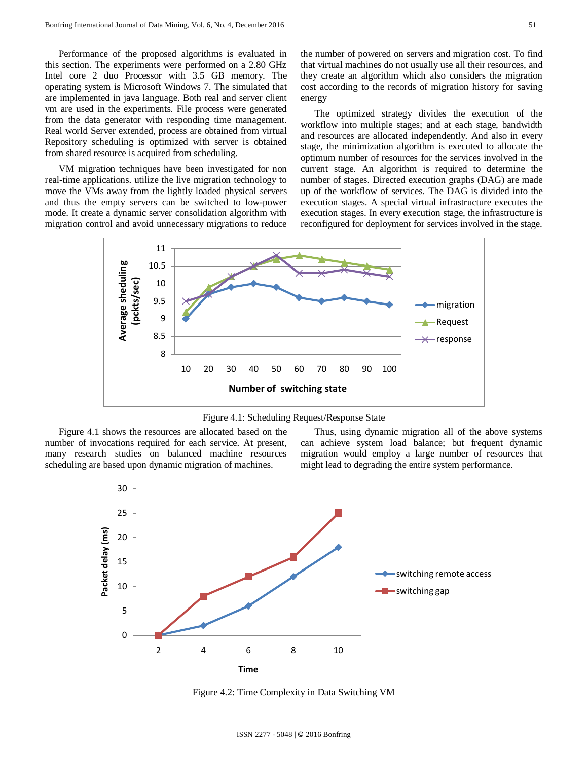Performance of the proposed algorithms is evaluated in this section. The experiments were performed on a 2.80 GHz Intel core 2 duo Processor with 3.5 GB memory. The operating system is Microsoft Windows 7. The simulated that are implemented in java language. Both real and server client vm are used in the experiments. File process were generated from the data generator with responding time management. Real world Server extended, process are obtained from virtual Repository scheduling is optimized with server is obtained from shared resource is acquired from scheduling.

VM migration techniques have been investigated for non real-time applications. utilize the live migration technology to move the VMs away from the lightly loaded physical servers and thus the empty servers can be switched to low-power mode. It create a dynamic server consolidation algorithm with migration control and avoid unnecessary migrations to reduce the number of powered on servers and migration cost. To find that virtual machines do not usually use all their resources, and they create an algorithm which also considers the migration cost according to the records of migration history for saving energy

The optimized strategy divides the execution of the workflow into multiple stages; and at each stage, bandwidth and resources are allocated independently. And also in every stage, the minimization algorithm is executed to allocate the optimum number of resources for the services involved in the current stage. An algorithm is required to determine the number of stages. Directed execution graphs (DAG) are made up of the workflow of services. The DAG is divided into the execution stages. A special virtual infrastructure executes the execution stages. In every execution stage, the infrastructure is reconfigured for deployment for services involved in the stage.



Figure 4.1: Scheduling Request/Response State

Figure 4.1 shows the resources are allocated based on the number of invocations required for each service. At present, many research studies on balanced machine resources scheduling are based upon dynamic migration of machines.

Thus, using dynamic migration all of the above systems can achieve system load balance; but frequent dynamic migration would employ a large number of resources that might lead to degrading the entire system performance.



Figure 4.2: Time Complexity in Data Switching VM